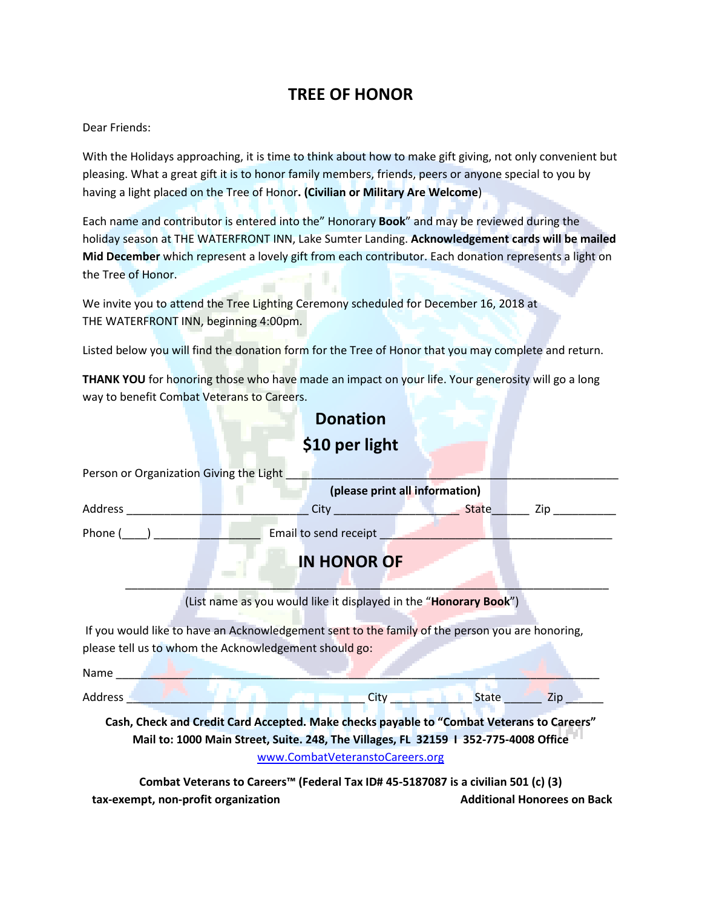### **TREE OF HONOR**

#### Dear Friends:

With the Holidays approaching, it is time to think about how to make gift giving, not only convenient but pleasing. What a great gift it is to honor family members, friends, peers or anyone special to you by having a light placed on the Tree of Honor**. (Civilian or Military Are Welcome**)

Each name and contributor is entered into the" Honorary **Book**" and may be reviewed during the holiday season at THE WATERFRONT INN, Lake Sumter Landing. **Acknowledgement cards will be mailed Mid December** which represent a lovely gift from each contributor. Each donation represents a light on the Tree of Honor.

We invite you to attend the Tree Lighting Ceremony scheduled for December 16, 2018 at THE WATERFRONT INN, beginning 4:00pm.

Listed below you will find the donation form for the Tree of Honor that you may complete and return.

**THANK YOU** for honoring those who have made an impact on your life. Your generosity will go a long way to benefit Combat Veterans to Careers.

# **Donation**

## **\$10 per light**

| Person or Organization Giving the Light                                                                       |                                                                                                 |           |                                                                                                               |  |
|---------------------------------------------------------------------------------------------------------------|-------------------------------------------------------------------------------------------------|-----------|---------------------------------------------------------------------------------------------------------------|--|
| (please print all information)                                                                                |                                                                                                 |           |                                                                                                               |  |
| Address                                                                                                       | City <b>State</b>                                                                               |           | Ziperator and the set of the set of the set of the set of the set of the set of the set of the set of the set |  |
|                                                                                                               | Phone ( ) Email to send receipt                                                                 |           |                                                                                                               |  |
|                                                                                                               | <b>IN HONOR OF</b>                                                                              |           |                                                                                                               |  |
|                                                                                                               |                                                                                                 |           |                                                                                                               |  |
|                                                                                                               | (List name as you would like it displayed in the "Honorary Book")                               |           |                                                                                                               |  |
|                                                                                                               | If you would like to have an Acknowledgement sent to the family of the person you are honoring, |           |                                                                                                               |  |
|                                                                                                               | please tell us to whom the Acknowledgement should go:                                           |           |                                                                                                               |  |
| Name and the state of the state of the state of the state of the state of the state of the state of the state |                                                                                                 |           |                                                                                                               |  |
| Address -                                                                                                     | .                                                                                               | City Late | $\blacksquare$ Zip                                                                                            |  |
|                                                                                                               | Cash, Check and Credit Card Accepted. Make checks payable to "Combat Veterans to Careers"       |           |                                                                                                               |  |
|                                                                                                               | Mail to: 1000 Main Street, Suite. 248, The Villages, FL 32159 I 352-775-4008 Office             |           |                                                                                                               |  |
|                                                                                                               |                                                                                                 |           |                                                                                                               |  |

[www.CombatVeteranstoCareers.org](http://www.combatveteranstocareers.org/)

**Combat Veterans to Careers™ (Federal Tax ID# 45-5187087 is a civilian 501 (c) (3) tax-exempt, non-profit organization Additional Honorees on Back**